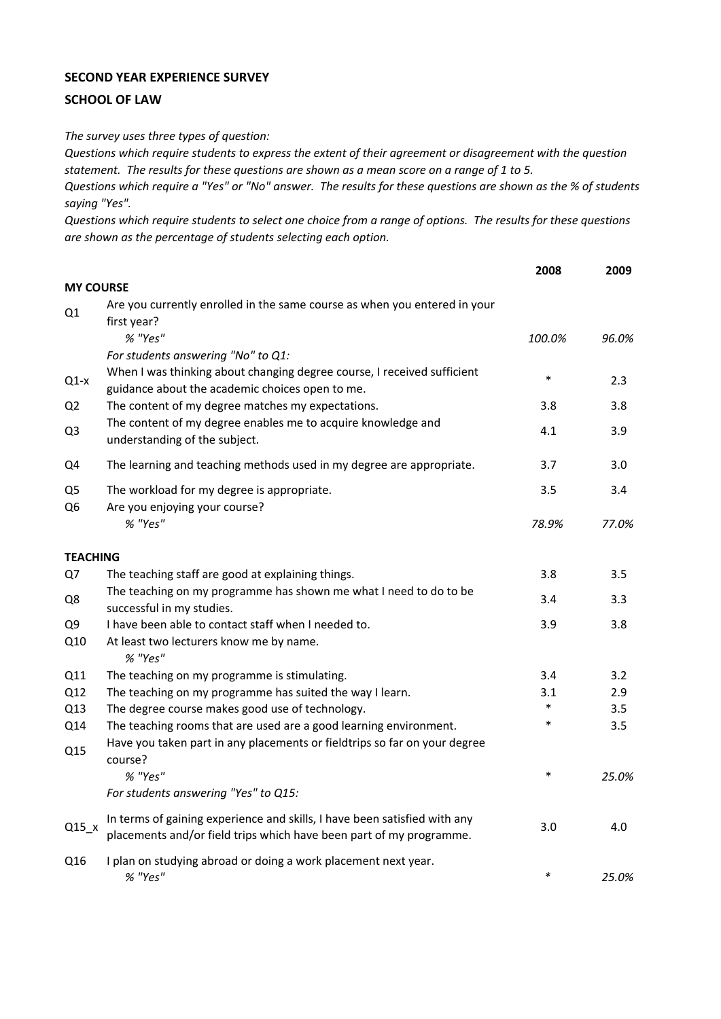## **SECOND YEAR EXPERIENCE SURVEY**

## **SCHOOL OF LAW**

*The survey uses three types of question:*

*Questions which require students to express the extent of their agreement or disagreement with the question statement. The results for these questions are shown as a mean score on a range of 1 to 5.*

*Questions which require a "Yes" or "No" answer. The results for these questions are shown as the % of students saying "Yes".*

*Questions which require students to select one choice from a range of options. The results for these questions are shown as the percentage of students selecting each option.*

|                      |                                                                                                                                                                  | 2008   | 2009  |
|----------------------|------------------------------------------------------------------------------------------------------------------------------------------------------------------|--------|-------|
| <b>MY COURSE</b>     |                                                                                                                                                                  |        |       |
| Q1                   | Are you currently enrolled in the same course as when you entered in your<br>first year?                                                                         |        |       |
|                      | % "Yes"                                                                                                                                                          | 100.0% | 96.0% |
| $Q1-x$               | For students answering "No" to Q1:<br>When I was thinking about changing degree course, I received sufficient<br>guidance about the academic choices open to me. | $\ast$ | 2.3   |
| Q <sub>2</sub>       | The content of my degree matches my expectations.                                                                                                                | 3.8    | 3.8   |
| Q3                   | The content of my degree enables me to acquire knowledge and<br>understanding of the subject.                                                                    | 4.1    | 3.9   |
| Q4                   | The learning and teaching methods used in my degree are appropriate.                                                                                             | 3.7    | 3.0   |
| Q <sub>5</sub><br>Q6 | The workload for my degree is appropriate.<br>Are you enjoying your course?                                                                                      | 3.5    | 3.4   |
|                      | % "Yes"                                                                                                                                                          | 78.9%  | 77.0% |
| <b>TEACHING</b>      |                                                                                                                                                                  |        |       |
| Q7                   | The teaching staff are good at explaining things.                                                                                                                | 3.8    | 3.5   |
| Q8                   | The teaching on my programme has shown me what I need to do to be<br>successful in my studies.                                                                   | 3.4    | 3.3   |
| Q9                   | I have been able to contact staff when I needed to.                                                                                                              | 3.9    | 3.8   |
| Q10                  | At least two lecturers know me by name.<br>% "Yes"                                                                                                               |        |       |
| Q11                  | The teaching on my programme is stimulating.                                                                                                                     | 3.4    | 3.2   |
| Q12                  | The teaching on my programme has suited the way I learn.                                                                                                         | 3.1    | 2.9   |
| Q13                  | The degree course makes good use of technology.                                                                                                                  | $\ast$ | 3.5   |
| Q14<br>Q15           | The teaching rooms that are used are a good learning environment.<br>Have you taken part in any placements or fieldtrips so far on your degree<br>course?        | $\ast$ | 3.5   |
|                      | % "Yes"                                                                                                                                                          | $\ast$ | 25.0% |
|                      | For students answering "Yes" to Q15:                                                                                                                             |        |       |
| $Q15_x$              | In terms of gaining experience and skills, I have been satisfied with any<br>placements and/or field trips which have been part of my programme.                 | 3.0    | 4.0   |
| Q16                  | I plan on studying abroad or doing a work placement next year.<br>% "Yes"                                                                                        | $\ast$ | 25.0% |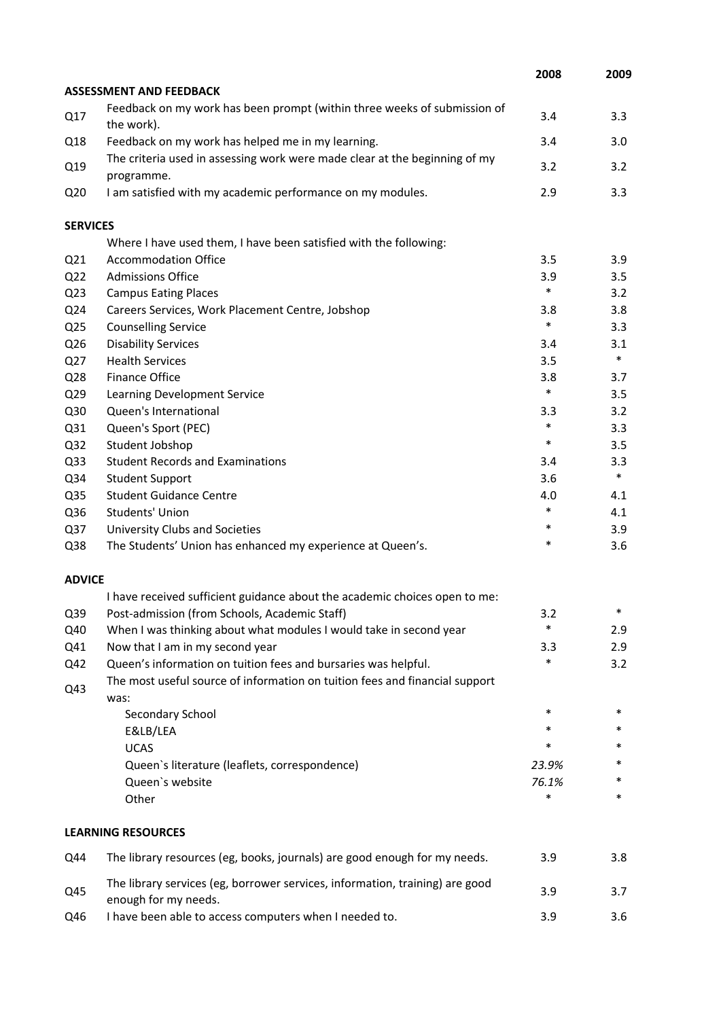|                 |                                                                                                      | 2008   | 2009   |
|-----------------|------------------------------------------------------------------------------------------------------|--------|--------|
|                 | <b>ASSESSMENT AND FEEDBACK</b>                                                                       |        |        |
| Q17             | Feedback on my work has been prompt (within three weeks of submission of<br>the work).               | 3.4    | 3.3    |
| Q18             | Feedback on my work has helped me in my learning.                                                    | 3.4    | 3.0    |
| Q19             | The criteria used in assessing work were made clear at the beginning of my<br>programme.             | 3.2    | 3.2    |
| Q <sub>20</sub> | I am satisfied with my academic performance on my modules.                                           | 2.9    | 3.3    |
| <b>SERVICES</b> |                                                                                                      |        |        |
|                 | Where I have used them, I have been satisfied with the following:                                    |        |        |
| Q <sub>21</sub> | <b>Accommodation Office</b>                                                                          | 3.5    | 3.9    |
| Q <sub>22</sub> | <b>Admissions Office</b>                                                                             | 3.9    | 3.5    |
| Q <sub>23</sub> | <b>Campus Eating Places</b>                                                                          | $\ast$ | 3.2    |
| Q24             | Careers Services, Work Placement Centre, Jobshop                                                     | 3.8    | 3.8    |
| Q <sub>25</sub> | <b>Counselling Service</b>                                                                           | $\ast$ | 3.3    |
| Q26             | <b>Disability Services</b>                                                                           | 3.4    | 3.1    |
| Q27             | <b>Health Services</b>                                                                               | 3.5    | $\ast$ |
| Q28             | Finance Office                                                                                       | 3.8    | 3.7    |
| Q <sub>29</sub> | Learning Development Service                                                                         | $\ast$ | 3.5    |
| Q30             | Queen's International                                                                                | 3.3    | 3.2    |
| Q31             | Queen's Sport (PEC)                                                                                  | $\ast$ | 3.3    |
| Q <sub>32</sub> | Student Jobshop                                                                                      | $\ast$ | 3.5    |
| Q <sub>33</sub> | <b>Student Records and Examinations</b>                                                              | 3.4    | 3.3    |
| Q34             | <b>Student Support</b>                                                                               | 3.6    | $\ast$ |
| Q <sub>35</sub> | <b>Student Guidance Centre</b>                                                                       | 4.0    | 4.1    |
| Q36             | Students' Union                                                                                      | $\ast$ | 4.1    |
| Q <sub>37</sub> | University Clubs and Societies                                                                       | $\ast$ | 3.9    |
| Q38             | The Students' Union has enhanced my experience at Queen's.                                           | $\ast$ | 3.6    |
| <b>ADVICE</b>   |                                                                                                      |        |        |
|                 | I have received sufficient guidance about the academic choices open to me:                           |        |        |
| Q39             | Post-admission (from Schools, Academic Staff)                                                        | 3.2    | *      |
| Q40             | When I was thinking about what modules I would take in second year                                   | $\ast$ | 2.9    |
| Q41             | Now that I am in my second year                                                                      | 3.3    | 2.9    |
| Q42             | Queen's information on tuition fees and bursaries was helpful.                                       | *      | 3.2    |
| Q43             | The most useful source of information on tuition fees and financial support<br>was:                  |        |        |
|                 | Secondary School                                                                                     | $\ast$ | $\ast$ |
|                 | E&LB/LEA                                                                                             | *      | *      |
|                 | <b>UCAS</b>                                                                                          | *      | *      |
|                 | Queen's literature (leaflets, correspondence)                                                        | 23.9%  | *      |
|                 | Queen's website                                                                                      | 76.1%  | *      |
|                 | Other                                                                                                | *      | $\ast$ |
|                 | <b>LEARNING RESOURCES</b>                                                                            |        |        |
| Q44             | The library resources (eg, books, journals) are good enough for my needs.                            | 3.9    | 3.8    |
| Q45             | The library services (eg, borrower services, information, training) are good<br>enough for my needs. | 3.9    | 3.7    |
| Q46             | I have been able to access computers when I needed to.                                               | 3.9    | 3.6    |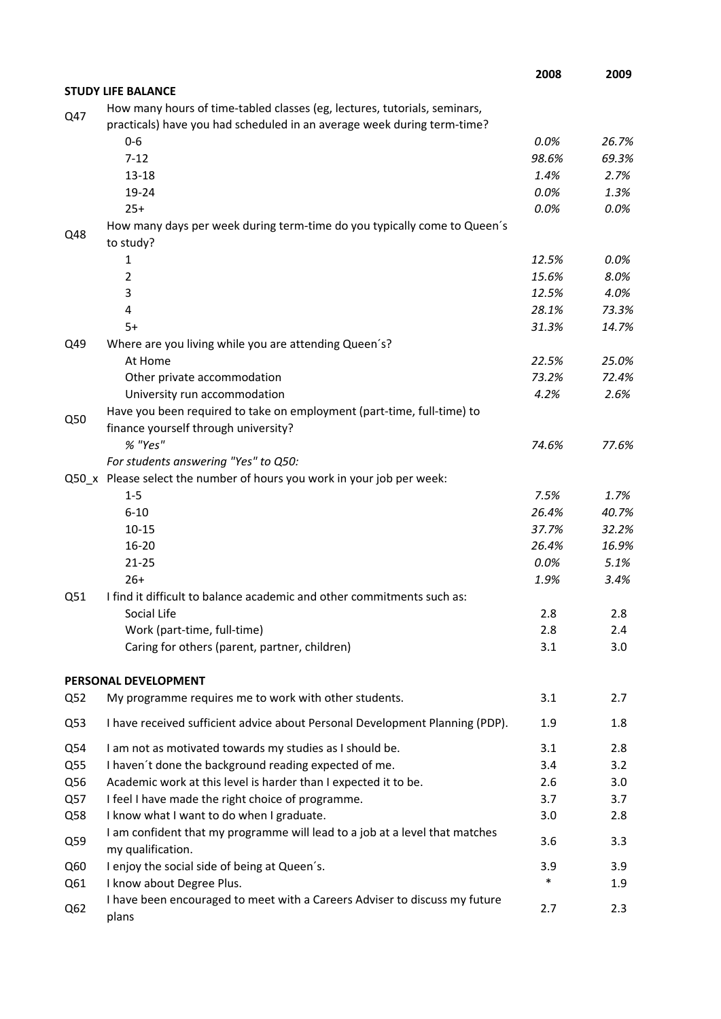|                 |                                                                                                                                                      | 2008   | 2009    |
|-----------------|------------------------------------------------------------------------------------------------------------------------------------------------------|--------|---------|
|                 | <b>STUDY LIFE BALANCE</b>                                                                                                                            |        |         |
| Q47             | How many hours of time-tabled classes (eg, lectures, tutorials, seminars,<br>practicals) have you had scheduled in an average week during term-time? |        |         |
|                 | $0 - 6$                                                                                                                                              | 0.0%   | 26.7%   |
|                 | $7 - 12$                                                                                                                                             | 98.6%  | 69.3%   |
|                 | $13 - 18$                                                                                                                                            | 1.4%   | 2.7%    |
|                 | 19-24                                                                                                                                                | 0.0%   | 1.3%    |
|                 | $25+$                                                                                                                                                | 0.0%   | 0.0%    |
| Q48             | How many days per week during term-time do you typically come to Queen's<br>to study?                                                                |        |         |
|                 | 1                                                                                                                                                    | 12.5%  | $0.0\%$ |
|                 | $\overline{2}$                                                                                                                                       | 15.6%  | 8.0%    |
|                 | 3                                                                                                                                                    | 12.5%  | 4.0%    |
|                 | 4                                                                                                                                                    | 28.1%  | 73.3%   |
|                 | $5+$                                                                                                                                                 | 31.3%  | 14.7%   |
| Q49             | Where are you living while you are attending Queen's?                                                                                                |        |         |
|                 | At Home                                                                                                                                              | 22.5%  | 25.0%   |
|                 | Other private accommodation                                                                                                                          | 73.2%  | 72.4%   |
|                 | University run accommodation                                                                                                                         | 4.2%   | 2.6%    |
| Q50             | Have you been required to take on employment (part-time, full-time) to                                                                               |        |         |
|                 | finance yourself through university?                                                                                                                 |        |         |
|                 | % "Yes"                                                                                                                                              | 74.6%  | 77.6%   |
|                 | For students answering "Yes" to Q50:                                                                                                                 |        |         |
|                 | Q50_x Please select the number of hours you work in your job per week:                                                                               |        |         |
|                 | $1 - 5$                                                                                                                                              | 7.5%   | 1.7%    |
|                 | $6 - 10$                                                                                                                                             | 26.4%  | 40.7%   |
|                 | $10 - 15$                                                                                                                                            | 37.7%  | 32.2%   |
|                 | 16-20                                                                                                                                                | 26.4%  | 16.9%   |
|                 | $21 - 25$                                                                                                                                            | 0.0%   | 5.1%    |
|                 | $26+$                                                                                                                                                | 1.9%   | 3.4%    |
| Q51             | I find it difficult to balance academic and other commitments such as:                                                                               |        |         |
|                 | Social Life                                                                                                                                          | 2.8    | 2.8     |
|                 | Work (part-time, full-time)                                                                                                                          | 2.8    | 2.4     |
|                 | Caring for others (parent, partner, children)                                                                                                        | 3.1    | 3.0     |
|                 | PERSONAL DEVELOPMENT                                                                                                                                 |        |         |
| Q52             | My programme requires me to work with other students.                                                                                                | 3.1    | 2.7     |
| Q53             | I have received sufficient advice about Personal Development Planning (PDP).                                                                         | 1.9    | 1.8     |
| Q54             | I am not as motivated towards my studies as I should be.                                                                                             | 3.1    | 2.8     |
| Q55             | I haven't done the background reading expected of me.                                                                                                | 3.4    | 3.2     |
| Q56             | Academic work at this level is harder than I expected it to be.                                                                                      | 2.6    | 3.0     |
| Q57             | I feel I have made the right choice of programme.                                                                                                    | 3.7    | 3.7     |
| Q58             | I know what I want to do when I graduate.                                                                                                            | 3.0    | 2.8     |
| Q59             | I am confident that my programme will lead to a job at a level that matches<br>my qualification.                                                     | 3.6    | 3.3     |
| Q60             | I enjoy the social side of being at Queen's.                                                                                                         | 3.9    | 3.9     |
| Q61             | I know about Degree Plus.                                                                                                                            | $\ast$ | 1.9     |
| Q <sub>62</sub> | I have been encouraged to meet with a Careers Adviser to discuss my future<br>plans                                                                  | 2.7    | 2.3     |